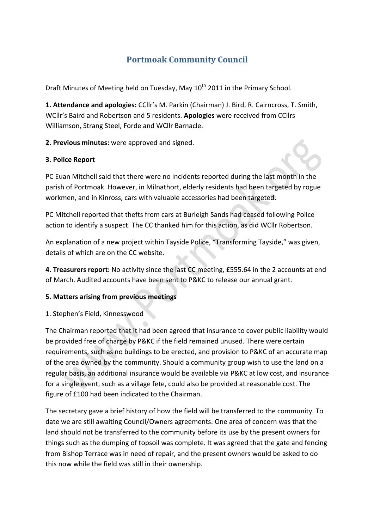# **Portmoak Community Council**

Draft Minutes of Meeting held on Tuesday, May 10<sup>th</sup> 2011 in the Primary School.

1. Attendance and apologies: CCllr's M. Parkin (Chairman) J. Bird, R. Cairncross, T. Smith, WCllr's Baird and Robertson and 5 residents. **Apologies** were received from CCllrs Williamson, Strang Steel, Forde and WCllr Barnacle.

2. Previous minutes: were approved and signed.

#### **3. Police Report**

PC Euan Mitchell said that there were no incidents reported during the last month in the parish of Portmoak. However, in Milnathort, elderly residents had been targeted by rogue workmen, and in Kinross, cars with valuable accessories had been targeted.

PC Mitchell reported that thefts from cars at Burleigh Sands had ceased following Police action to identify a suspect. The CC thanked him for this action, as did WCllr Robertson.

An explanation of a new project within Tayside Police, "Transforming Tayside," was given, details of which are on the CC website.

**4. Treasurers report:** No activity since the last CC meeting, £555.64 in the 2 accounts at end of March. Audited accounts have been sent to P&KC to release our annual grant.

#### **5.#Matters#arising from#previous#meetings**

#### 1. Stephen's Field, Kinnesswood

The Chairman reported that it had been agreed that insurance to cover public liability would be provided free of charge by P&KC if the field remained unused. There were certain requirements, such as no buildings to be erected, and provision to P&KC of an accurate map of the area owned by the community. Should a community group wish to use the land on a regular basis, an additional insurance would be available via P&KC at low cost, and insurance for a single event, such as a village fete, could also be provided at reasonable cost. The figure of £100 had been indicated to the Chairman.

The secretary gave a brief history of how the field will be transferred to the community. To date we are still awaiting Council/Owners agreements. One area of concern was that the land should not be transferred to the community before its use by the present owners for things such as the dumping of topsoil was complete. It was agreed that the gate and fencing from Bishop Terrace was in need of repair, and the present owners would be asked to do this now while the field was still in their ownership.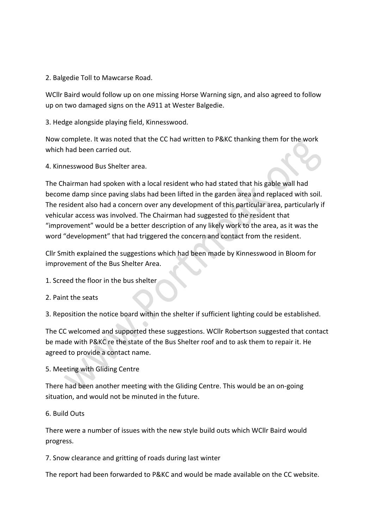2. Balgedie Toll to Mawcarse Road.

WCllr Baird would follow up on one missing Horse Warning sign, and also agreed to follow up on two damaged signs on the A911 at Wester Balgedie.

3. Hedge alongside playing field, Kinnesswood.

Now complete. It was noted that the CC had written to P&KC thanking them for the work which had been carried out.

4. Kinnesswood Bus Shelter area.

The Chairman had spoken with a local resident who had stated that his gable wall had become damp since paving slabs had been lifted in the garden area and replaced with soil. The resident also had a concern over any development of this particular area, particularly if vehicular access was involved. The Chairman had suggested to the resident that "improvement" would be a better description of any likely work to the area, as it was the word "development" that had triggered the concern and contact from the resident.

Cllr Smith explained the suggestions which had been made by Kinnesswood in Bloom for improvement of the Bus Shelter Area.

- 1. Screed the floor in the bus shelter
- 2. Paint the seats

3. Reposition the notice board within the shelter if sufficient lighting could be established.

The CC welcomed and supported these suggestions. WCllr Robertson suggested that contact be made with P&KC re the state of the Bus Shelter roof and to ask them to repair it. He agreed to provide a contact name.

#### 5. Meeting with Gliding Centre

There had been another meeting with the Gliding Centre. This would be an on-going situation, and would not be minuted in the future.

#### 6. Build Outs

There were a number of issues with the new style build outs which WCllr Baird would progress.

7. Snow clearance and gritting of roads during last winter

The report had been forwarded to P&KC and would be made available on the CC website.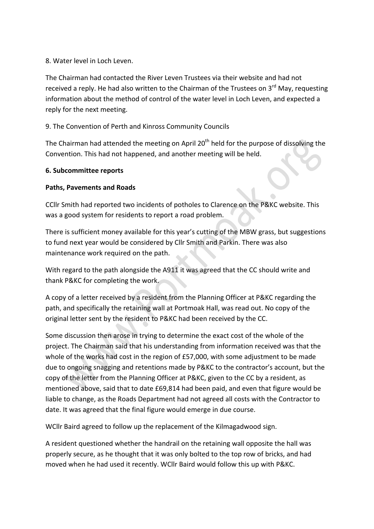#### 8. Water level in Loch Leven.

The Chairman had contacted the River Leven Trustees via their website and had not received a reply. He had also written to the Chairman of the Trustees on 3rd May, requesting information about the method of control of the water level in Loch Leven, and expected a reply for the next meeting.

### 9. The Convention of Perth and Kinross Community Councils

The Chairman had attended the meeting on April 20<sup>th</sup> held for the purpose of dissolving the Convention. This had not happened, and another meeting will be held.

#### **6.#Subcommittee reports**

#### **Paths, Pavements and Roads**

CCIIr Smith had reported two incidents of potholes to Clarence on the P&KC website. This was a good system for residents to report a road problem.

There is sufficient money available for this year's cutting of the MBW grass, but suggestions to fund next year would be considered by Cllr Smith and Parkin. There was also maintenance work required on the path.

With regard to the path alongside the A911 it was agreed that the CC should write and thank P&KC for completing the work.

A copy of a letter received by a resident from the Planning Officer at P&KC regarding the path, and specifically the retaining wall at Portmoak Hall, was read out. No copy of the original letter sent by the resident to P&KC had been received by the CC.

Some discussion then arose in trying to determine the exact cost of the whole of the project. The Chairman said that his understanding from information received was that the whole of the works had cost in the region of £57,000, with some adjustment to be made due to ongoing snagging and retentions made by P&KC to the contractor's account, but the copy of the letter from the Planning Officer at P&KC, given to the CC by a resident, as mentioned above, said that to date £69,814 had been paid, and even that figure would be liable to change, as the Roads Department had not agreed all costs with the Contractor to date. It was agreed that the final figure would emerge in due course.

WCllr Baird agreed to follow up the replacement of the Kilmagadwood sign.

A resident questioned whether the handrail on the retaining wall opposite the hall was properly secure, as he thought that it was only bolted to the top row of bricks, and had moved when he had used it recently. WCllr Baird would follow this up with P&KC.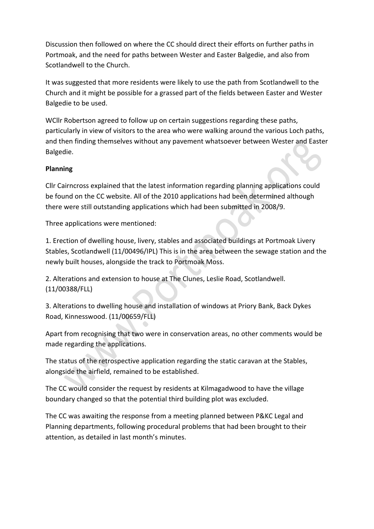Discussion then followed on where the CC should direct their efforts on further paths in Portmoak, and the need for paths between Wester and Easter Balgedie, and also from Scotlandwell to the Church.

It was suggested that more residents were likely to use the path from Scotlandwell to the Church and it might be possible for a grassed part of the fields between Easter and Wester Balgedie to be used.

WCllr Robertson agreed to follow up on certain suggestions regarding these paths, particularly in view of visitors to the area who were walking around the various Loch paths, and then finding themselves without any pavement whatsoever between Wester and Easter Balgedie.

## **Planning**

Cllr Cairncross explained that the latest information regarding planning applications could be found on the CC website. All of the 2010 applications had been determined although there were still outstanding applications which had been submitted in 2008/9.

Three applications were mentioned:

1. Erection of dwelling house, livery, stables and associated buildings at Portmoak Livery Stables, Scotlandwell (11/00496/IPL) This is in the area between the sewage station and the newly built houses, alongside the track to Portmoak Moss.

2. Alterations and extension to house at The Clunes, Leslie Road, Scotlandwell. (11/00388/FLL)

3. Alterations to dwelling house and installation of windows at Priory Bank, Back Dykes Road, Kinnesswood. (11/00659/FLL)

Apart from recognising that two were in conservation areas, no other comments would be made regarding the applications.

The status of the retrospective application regarding the static caravan at the Stables, alongside the airfield, remained to be established.

The CC would consider the request by residents at Kilmagadwood to have the village boundary changed so that the potential third building plot was excluded.

The CC was awaiting the response from a meeting planned between P&KC Legal and Planning departments, following procedural problems that had been brought to their attention, as detailed in last month's minutes.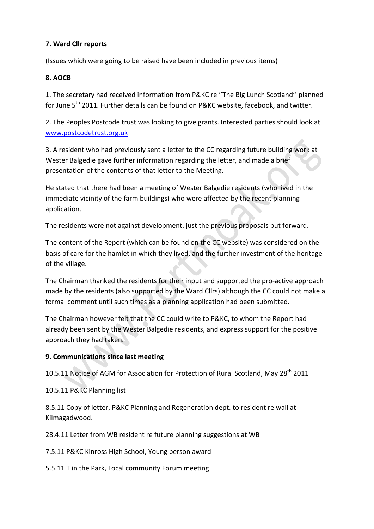## **7.#Ward#Cllr#reports**

(Issues which were going to be raised have been included in previous items)

## **8.#AOCB**

1. The secretary had received information from P&KC re "The Big Lunch Scotland" planned for June  $5<sup>th</sup>$  2011. Further details can be found on P&KC website, facebook, and twitter.

2. The Peoples Postcode trust was looking to give grants. Interested parties should look at www.postcodetrust.org.uk

3. A resident who had previously sent a letter to the CC regarding future building work at Wester Balgedie gave further information regarding the letter, and made a brief presentation of the contents of that letter to the Meeting.

He stated that there had been a meeting of Wester Balgedie residents (who lived in the immediate vicinity of the farm buildings) who were affected by the recent planning application.

The residents were not against development, just the previous proposals put forward.

The content of the Report (which can be found on the CC website) was considered on the basis of care for the hamlet in which they lived, and the further investment of the heritage of the village.

The Chairman thanked the residents for their input and supported the pro-active approach made by the residents (also supported by the Ward Cllrs) although the CC could not make a formal comment until such times as a planning application had been submitted.

The Chairman however felt that the CC could write to P&KC, to whom the Report had already been sent by the Wester Balgedie residents, and express support for the positive approach they had taken.

#### **9. Communications since last meeting**

10.5.11 Notice of AGM for Association for Protection of Rural Scotland, May 28<sup>th</sup> 2011

10.5.11 P&KC Planning list

8.5.11 Copy of letter, P&KC Planning and Regeneration dept. to resident re wall at Kilmagadwood.

28.4.11 Letter from WB resident re future planning suggestions at WB

7.5.11 P&KC Kinross High School, Young person award

5.5.11 T in the Park, Local community Forum meeting